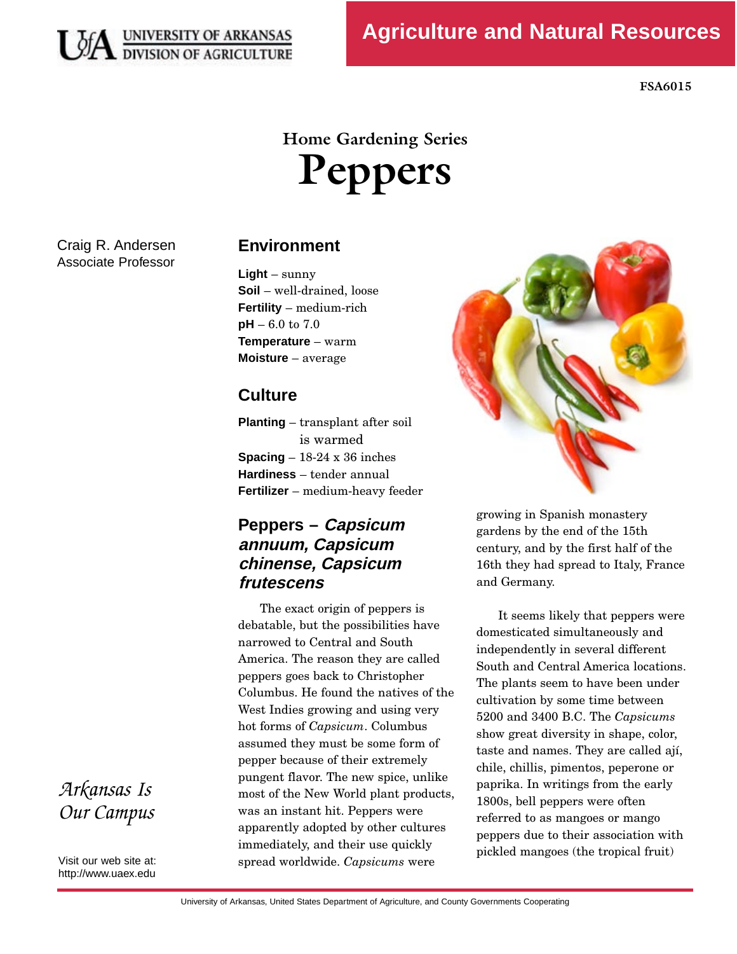

# **Home Gardening Series Peppers**

Craig R. Andersen Associate Professor

### **Environment**

 $Liaht - \text{sumv}$ **Soil** – well-drained, loose **Fertility** – medium-rich  $pH - 6.0$  to  $7.0$ **Temperature** – warm **Moisture** – average

## **Culture**

**Planting** – transplant after soil<br>is warmed **Spacing**  $-18-24 \times 36$  inches **Hardiness** – tender annual **Fertilizer** – medium-heavy feeder

# **Peppers – Capsicum annuum, Capsicum chinense, Capsicum frutescens**

The exact origin of peppers is<br>debatable, but the possibilities have narrowed to Central and South America. The reason they are called peppers goes back to Christopher Columbus. He found the natives of the West Indies growing and using very West Indies growing and deling very assumed they must be some form of<br>pepper because of their extremely pungent flavor. The new spice, unlike most of the New World plant products, was an instant hit. Peppers were apparently adopted by other cultures immediately, and their use quickly minicalately, and their also quickly



growing in Spanish monastery<br>gardens by the end of the 15th century, and by the first half of the century, and by the motifian of the  $\frac{1}{2}$  $\frac{1}{6}$ and Germany.

It seems likely that peppers were<br>domesticated simultaneously and independently in several different South and Central America locations. The plants seem to have been under cultivation by some time between Equation by some time setween<br>5200 and 3400 B.C. The *Capsicums* show great diversity in shape, color,<br>taste and names. They are called aií, chile, chillis, pimentos, peperone or paprika. In writings from the early 1800s, bell peppers were often referred to as mangoes or mango peppers due to their association with peppers and to their association with  $(1 + 1.6 \pm 0.1)$ premea mangoes (the tropical fruit)

*Arkansas Is Our Campus* 

Visit our web site at: http://www.uaex.edu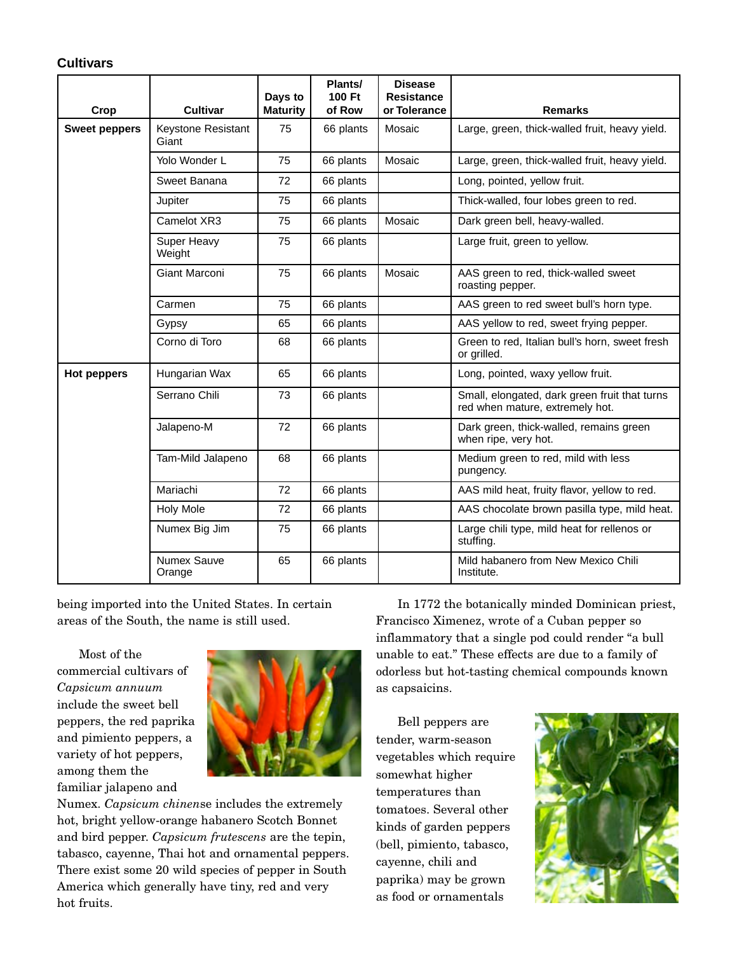#### **Cultivars**

|                      |                              | Days to         | Plants/<br>100 Ft | <b>Disease</b><br><b>Resistance</b> |                                                                                  |
|----------------------|------------------------------|-----------------|-------------------|-------------------------------------|----------------------------------------------------------------------------------|
| Crop                 | <b>Cultivar</b>              | <b>Maturity</b> | of Row            | or Tolerance                        | <b>Remarks</b>                                                                   |
| <b>Sweet peppers</b> | Keystone Resistant<br>Giant  | 75              | 66 plants         | Mosaic                              | Large, green, thick-walled fruit, heavy yield.                                   |
|                      | Yolo Wonder L                | 75              | 66 plants         | Mosaic                              | Large, green, thick-walled fruit, heavy yield.                                   |
|                      | Sweet Banana                 | 72              | 66 plants         |                                     | Long, pointed, yellow fruit.                                                     |
|                      | Jupiter                      | 75              | 66 plants         |                                     | Thick-walled, four lobes green to red.                                           |
|                      | Camelot XR3                  | 75              | 66 plants         | Mosaic                              | Dark green bell, heavy-walled.                                                   |
|                      | Super Heavy<br>Weight        | 75              | 66 plants         |                                     | Large fruit, green to yellow.                                                    |
|                      | Giant Marconi                | 75              | 66 plants         | Mosaic                              | AAS green to red, thick-walled sweet<br>roasting pepper.                         |
|                      | Carmen                       | 75              | 66 plants         |                                     | AAS green to red sweet bull's horn type.                                         |
|                      | Gypsy                        | 65              | 66 plants         |                                     | AAS yellow to red, sweet frying pepper.                                          |
|                      | Corno di Toro                | 68              | 66 plants         |                                     | Green to red, Italian bull's horn, sweet fresh<br>or grilled.                    |
| <b>Hot peppers</b>   | Hungarian Wax                | 65              | 66 plants         |                                     | Long, pointed, waxy yellow fruit.                                                |
|                      | Serrano Chili                | 73              | 66 plants         |                                     | Small, elongated, dark green fruit that turns<br>red when mature, extremely hot. |
|                      | Jalapeno-M                   | 72              | 66 plants         |                                     | Dark green, thick-walled, remains green<br>when ripe, very hot.                  |
|                      | Tam-Mild Jalapeno            | 68              | 66 plants         |                                     | Medium green to red, mild with less<br>pungency.                                 |
|                      | Mariachi                     | 72              | 66 plants         |                                     | AAS mild heat, fruity flavor, yellow to red.                                     |
|                      | <b>Holy Mole</b>             | 72              | 66 plants         |                                     | AAS chocolate brown pasilla type, mild heat.                                     |
|                      | Numex Big Jim                | 75              | 66 plants         |                                     | Large chili type, mild heat for rellenos or<br>stuffing.                         |
|                      | <b>Numex Sauve</b><br>Orange | 65              | 66 plants         |                                     | Mild habanero from New Mexico Chili<br>Institute.                                |

being imported into the United States. In certain areas of the South, the name is still used.

Most of the<br>commercial cultivars of commercial cultivars of *Capsicum annuum*  include the sweet bell and pimiento peppers, a variety of hot peppers, among them the familiar jalapeno and



familiar jalapeno and Numex. *Capsicum chinen*se includes the extremely hot, bright yellow-orange habanero Scotch Bonnet and bird pepper. *Capsicum frutescens* are the tepin, tabasco, cayenne, Thai hot and ornamental peppers. There exist some 20 wild species of pepper in South America which generally have  $\sum_{i=1}^{n}$ , red and very hot fruits.

In 1772 the botanically minded Dominican priest, inflammatory that a single pod could render "a bull unable to eat." These effects are due to a family of  $\frac{1}{1}$   $\frac{1}{1}$   $\frac{1}{1}$   $\frac{1}{1}$   $\frac{1}{1}$   $\frac{1}{1}$   $\frac{1}{1}$   $\frac{1}{1}$   $\frac{1}{1}$   $\frac{1}{1}$   $\frac{1}{1}$   $\frac{1}{1}$   $\frac{1}{1}$ odorless but hot-tasting chemical compounds known as capsaicins.

Bell peppers are<br>tender, warm-season  $t_{\text{t}}$  tender, warm-season vegetables which require somewhat higher<br>temperatures than tomatoes. Several other kinds of garden peppers (bell, pimiento, tabasco, cayenne, chili and paprika) may be grown as food or ornamentals as food or ornamentals

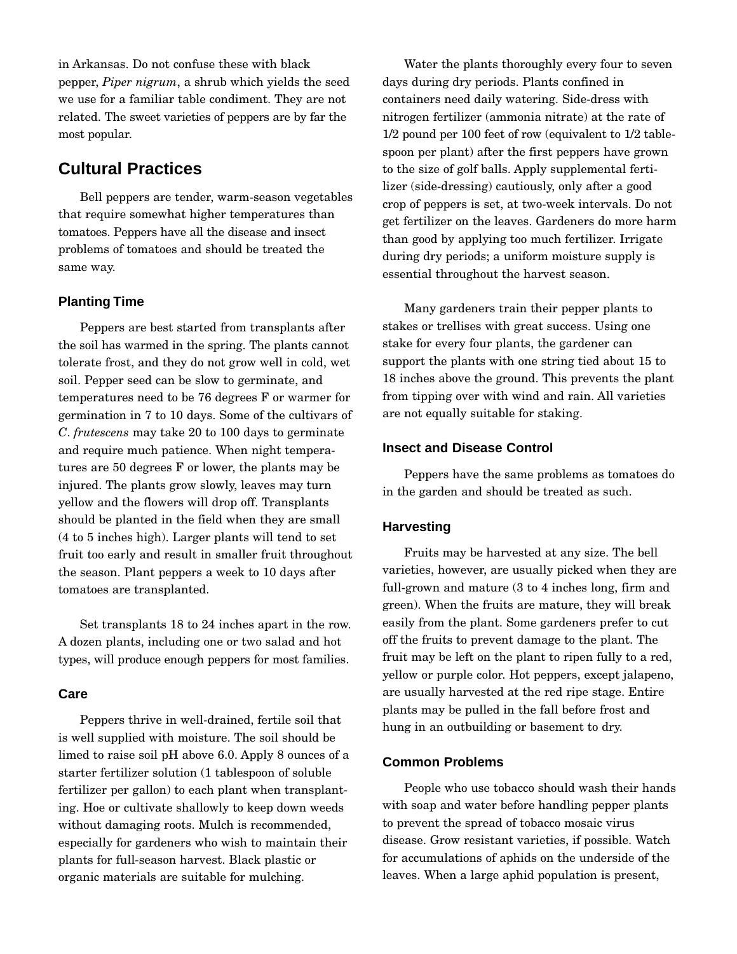in Arkansas. Do not confuse these with black pepper, *Piper nigrum*, a shrub which yields the seed we use for a familiar table conditions. They are not related. The sweet varieties of peppers are by far the most popular.

# **Cultural Practices**

 tomatoes. Peppers have all the disease and insect Bell peppers are tender, warm-season vegetables tomatoes. Peppers have all the disease and insect problems of tomatoes and should be treated the same way.

#### **Planting Time**

 the soil has warmed in the spring. The plants cannot Peppers are best started from transplants after<br>the soil has warmed in the spring. The plants cannot soil. Pepper seed can be slow to germinate, and temperatures need to be  $76$  degrees  $F$  or warmer for germination in 7 to 10 days. Some of the cultivars of germination in 7 to 10 days. Some of the cultivars of *<sup>C</sup>*. *frutescens* may take 20 to 100 days to germinate and require much patience. When night tempera-<br>tures are 50 degrees F or lower, the plants may be injured. The plants grow slowly, leaves may turn yellow and the flowers will drop off. Transplants should be planted in the field when they are small  $(4 \text{ to } 5 \text{ inches high})$ . Larger plants will tend to set fruit too early and result in smaller fruit throughout the season. Plant peppers a week to 10 days after the season. Plant peppers a week to 10 days after tomatoes are transplanted.

Set transplants 18 to 24 inches apart in the row.<br>A dozen plants, including one or two salad and hot A dozen plants, including one or two salad and hot types, will produce enough peppers for most families.

#### **Care**

Peppers thrive in well-drained, fertile soil that limed to raise soil pH above  $6.0$ . Apply 8 ounces of a starter fertilizer solution (1 tables poon of soluble fertilizer per gallon) to each plant when transplanting. Hoe or cultivate shallowly to keep down weeds without damaging roots. Mulch is recommended, especially for gardeners who wish to maintain their plants for full-season harvest. Black plastic or plants for full-season harvest. Black plastic or organic materials are suitable for mulching.

 $1/\sqrt{a}$  is  $1/\sqrt{a}$  in  $1/\sqrt{a}$ Water the plants thoroughly every four to seven<br>days during dry periods. Plants confined in containers need daily watering. Side-dress with nitrogen fertilizer (ammonia nitrate) at the rate of  $1/2$  pound per 100 feet of row (equivalent to  $1/2$  tableto the size of golf balls. Apply supplemental fertilizer (side-dressing) cautiously, only after a good crop of peppers is set, at two-week intervals. Do not get fertilizer on the leaves. Gardeners do more harm than good by applying too much fertilizer. Irrigate during dry periods; a uniform moisture supply is during dry periods; a uniform moisture supply is essential throughout the harvest season.

Many gardeners train their pepper plants to<br>stakes or trellises with great success. Using one stake for every four plants, the gardener can support the plants with one string tied about 15 to 18 inches above the ground. This prevents the plant 18 inches above the ground. This prevents the plant  $\frac{1}{1}$  from tipping over with wind and rain. All varieties are not equally suitable for staking.

#### **Insect and Disease Control**

Peppers have the same problems as tomatoes do in the garden and should be treated as such.

#### **Harvesting**

Fruits may be harvested at any size. The bell full-grown and mature  $(3 \text{ to } 4 \text{ inches long, firm and})$ green). When the fruits are mature, they will break easily from the plant. Some gardeners prefer to cut off the fruits to prevent damage to the plant. The fruit may be left on the plant to ripen fully to a red. yellow or purple color. Hot peppers, except jalapeno, are usually harvested at the red ripe stage. Entire plants may be pulled in the fall before frost and plants may be pulled in the fall before frost and hung in an outbuilding or basement to dry.

#### **Common Problems**

People who use tobacco should wash their hands<br>with soap and water before handling pepper plants to prevent the spread of tobacco mosaic virus disease. Grow resistant varieties, if possible. Watch for accumulations of aphids on the underside of the for accumulations of aphids on the underside of the leaves. When a large aphid population is present,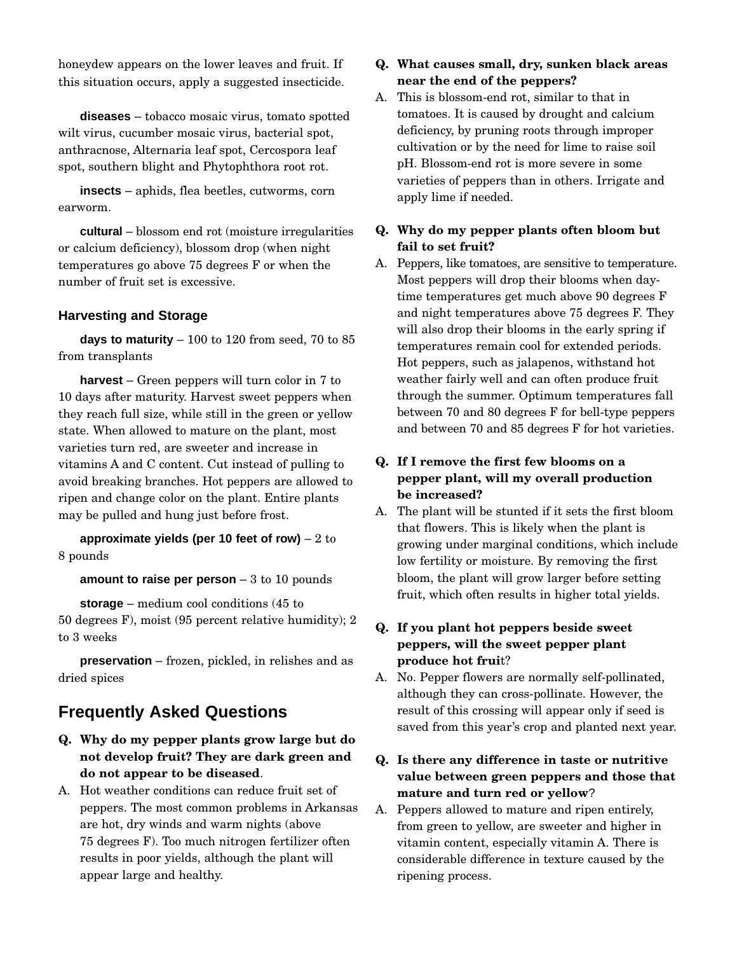$h^{(1)}$  is the lower leaves and fruit. If this situation occurs, apply a suggested insecticide.

**diseases** – tobacco mosaic virus, tomato spotted wilt virus, cucumber mosaic virus, bacterial spot, anthracnose, Alternaria leaf spot, Cercospora leaf  $\frac{1}{4}$  and  $\frac{1}{4}$  and  $\frac{1}{4}$  and  $\frac{1}{4}$  and  $\frac{1}{4}$  and  $\frac{1}{4}$  and  $\frac{1}{4}$  and  $\frac{1}{4}$  and  $\frac{1}{4}$  and  $\frac{1}{4}$  and  $\frac{1}{4}$  and  $\frac{1}{4}$  and  $\frac{1}{4}$  and  $\frac{1}{4}$  and  $\frac{1}{4}$  and  $\frac{1}{4}$  a spot, southern blight and Phytophthora root rot.

**insects** – aphids, flea beetles, cutworms, corn earworm.

or calcium deficiency), blossom drop (when night **cultural** – blossom end rot (moisture irregularities temperatures go above  $75$  degrees  $F$  or when the temperatures go above 75 degrees F or when the number of fruit set is excessive.

#### **Harvesting and Storage**

**days to maturity**  $-100$  to 120 from seed, 70 to 85 from transplants

harvest – Green peppers will turn color in 7 to 10 days after maturity. Harvest sweet peppers when they reach full size, while still in the green or yellow state. When allowed to mature on the plant, most varieties turn red, are sweeter and increase in vitamins A and C content. Cut instead of pulling to avoid breaking branches. Hot peppers are allowed to ripen and change color on the plant. Entire plants ripen and change color on the plant. Entire plants may be pulled and hung just before frost.

**approximate yields (per 10 feet of row)**  $-2$  to 8 pounds

**amount to raise per person** – 3 to 10 pounds

**storage** – medium cool conditions (45 to 50 degrees F), moist (95 percent relative humidity); 2 to 3 weeks

**preservation** – frozen, pickled, in relishes and as dried spices

### **Frequently Asked Questions**

- **Q. Why do my pepper plants grow large but do not develop fruit? They are dark green and do not appear to be diseased.**<br>A. Hot weather conditions can reduce fruit set of
- peppers. The most common problems in Arkansas are hot, dry winds and warm nights (above 75 degrees F). Too much nitrogen fertilizer often results in poor yields, although the plant will results in poor yields, although the plant will appear large and healthy.

#### **Q. What causes small, dry, sunken black areas near the end of the peppers?**

A. This is blossom-end rot, similar to that in<br>tomatoes. It is caused by drought and calcium deficiency, by pruning roots through improper cultivation or by the need for lime to raise soil pH. Blossom-end rot is more severe in some varieties of peppers than in others. Irrigate and varieties of peppers than in others. Irrigate and apply lime if needed.

#### **Q. Why do my pepper plants often bloom but fail to set fruit?**

A. Peppers, me comatoes, are sensitive to temperature. time temperatures get much above 90 degrees F and night temperatures above 75 degrees F. They will also drop their blooms in the early spring if temperatures remain cool for extended periods. Hot peppers, such as jalapenos, withstand hot weather fairly well and can often produce fruit through the summer. Optimum temperatures fall between 70 and 80 degrees  $F$  for bell-type peppers between 70 and 80 degrees F for bell-type peppers and between 70 and 85 degrees F for hot varieties.

#### **Q. If I remove the first few blooms on a pepper plant, will my overall production be increased?**

A. The plant will be stunted if it sets the first bloom that flowers. This is likely when the plant is growing under marginal conditions, which include low fertility or moisture. By removing the first bloom, the plant will grow larger before setting. bloom, the plant will grow larger before setting fruit, which often results in higher total yields.

# **Q. If you plant hot peppers beside sweet peppers, will the sweet pepper plant produce hot fruit?**<br>A. No. Pepper flowers are normally self-pollinated,

- although they can cross-pollinate. However, the result of this crossing will appear only if seed is result of this crossing will appear only if seed is saved from this year's crop and planted next year.
- **Q. Is there any difference in taste or nutritive value between green peppers and those that mature and turn red or yellow**?
- A. Peppers allowed to mature and ripen entirely,<br>from green to yellow, are sweeter and higher in vitamin content, especially vitamin A. There is vitamin content, especially vitamin A. There is considerable difference in texture caused by the ripening process.